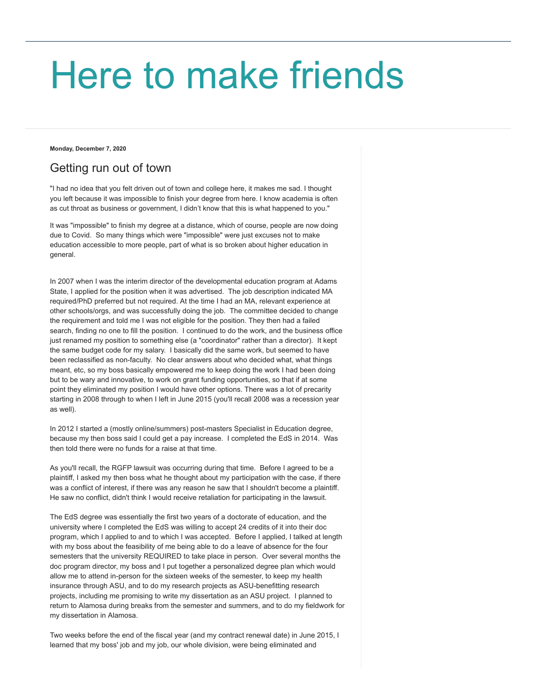## [Here to make friends](https://karenlemke.blogspot.com/)

**Monday, December 7, 2020**

## Getting run out of town

"I had no idea that you felt driven out of town and college here, it makes me sad. I thought you left because it was impossible to finish your degree from here. I know academia is often as cut throat as business or government, I didn't know that this is what happened to you."

It was "impossible" to finish my degree at a distance, which of course, people are now doing due to Covid. So many things which were "impossible" were just excuses not to make education accessible to more people, part of what is so broken about higher education in general.

In 2007 when I was the interim director of the developmental education program at Adams State, I applied for the position when it was advertised. The job description indicated MA required/PhD preferred but not required. At the time I had an MA, relevant experience at other schools/orgs, and was successfully doing the job. The committee decided to change the requirement and told me I was not eligible for the position. They then had a failed search, finding no one to fill the position. I continued to do the work, and the business office just renamed my position to something else (a "coordinator" rather than a director). It kept the same budget code for my salary. I basically did the same work, but seemed to have been reclassified as non-faculty. No clear answers about who decided what, what things meant, etc, so my boss basically empowered me to keep doing the work I had been doing but to be wary and innovative, to work on grant funding opportunities, so that if at some point they eliminated my position I would have other options. There was a lot of precarity starting in 2008 through to when I left in June 2015 (you'll recall 2008 was a recession year as well).

In 2012 I started a (mostly online/summers) post-masters Specialist in Education degree, because my then boss said I could get a pay increase. I completed the EdS in 2014. Was then told there were no funds for a raise at that time.

As you'll recall, the RGFP lawsuit was occurring during that time. Before I agreed to be a plaintiff, I asked my then boss what he thought about my participation with the case, if there was a conflict of interest, if there was any reason he saw that I shouldn't become a plaintiff. He saw no conflict, didn't think I would receive retaliation for participating in the lawsuit.

The EdS degree was essentially the first two years of a doctorate of education, and the university where I completed the EdS was willing to accept 24 credits of it into their doc program, which I applied to and to which I was accepted. Before I applied, I talked at length with my boss about the feasibility of me being able to do a leave of absence for the four semesters that the university REQUIRED to take place in person. Over several months the doc program director, my boss and I put together a personalized degree plan which would allow me to attend in-person for the sixteen weeks of the semester, to keep my health insurance through ASU, and to do my research projects as ASU-benefitting research projects, including me promising to write my dissertation as an ASU project. I planned to return to Alamosa during breaks from the semester and summers, and to do my fieldwork for my dissertation in Alamosa.

Two weeks before the end of the fiscal year (and my contract renewal date) in June 2015, I learned that my boss' job and my job, our whole division, were being eliminated and